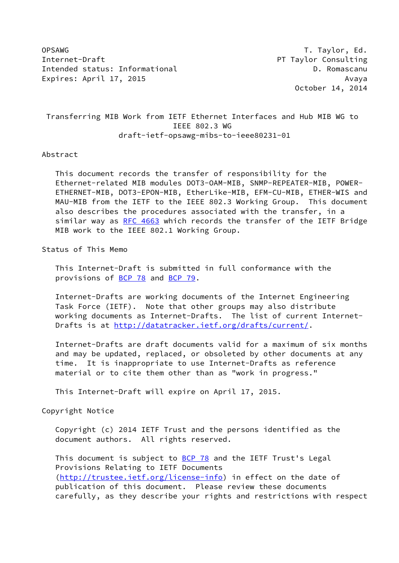OPSAWG T. Taylor, Ed. Internet-Draft PT Taylor Consulting Intended status: Informational D. Romascanu Expires: April 17, 2015 **Avaya** 

October 14, 2014

 Transferring MIB Work from IETF Ethernet Interfaces and Hub MIB WG to IEEE 802.3 WG draft-ietf-opsawg-mibs-to-ieee80231-01

#### Abstract

 This document records the transfer of responsibility for the Ethernet-related MIB modules DOT3-OAM-MIB, SNMP-REPEATER-MIB, POWER- ETHERNET-MIB, DOT3-EPON-MIB, EtherLike-MIB, EFM-CU-MIB, ETHER-WIS and MAU-MIB from the IETF to the IEEE 802.3 Working Group. This document also describes the procedures associated with the transfer, in a similar way as [RFC 4663](https://datatracker.ietf.org/doc/pdf/rfc4663) which records the transfer of the IETF Bridge MIB work to the IEEE 802.1 Working Group.

Status of This Memo

 This Internet-Draft is submitted in full conformance with the provisions of [BCP 78](https://datatracker.ietf.org/doc/pdf/bcp78) and [BCP 79](https://datatracker.ietf.org/doc/pdf/bcp79).

 Internet-Drafts are working documents of the Internet Engineering Task Force (IETF). Note that other groups may also distribute working documents as Internet-Drafts. The list of current Internet- Drafts is at<http://datatracker.ietf.org/drafts/current/>.

 Internet-Drafts are draft documents valid for a maximum of six months and may be updated, replaced, or obsoleted by other documents at any time. It is inappropriate to use Internet-Drafts as reference material or to cite them other than as "work in progress."

This Internet-Draft will expire on April 17, 2015.

Copyright Notice

 Copyright (c) 2014 IETF Trust and the persons identified as the document authors. All rights reserved.

This document is subject to **[BCP 78](https://datatracker.ietf.org/doc/pdf/bcp78)** and the IETF Trust's Legal Provisions Relating to IETF Documents [\(http://trustee.ietf.org/license-info](http://trustee.ietf.org/license-info)) in effect on the date of publication of this document. Please review these documents carefully, as they describe your rights and restrictions with respect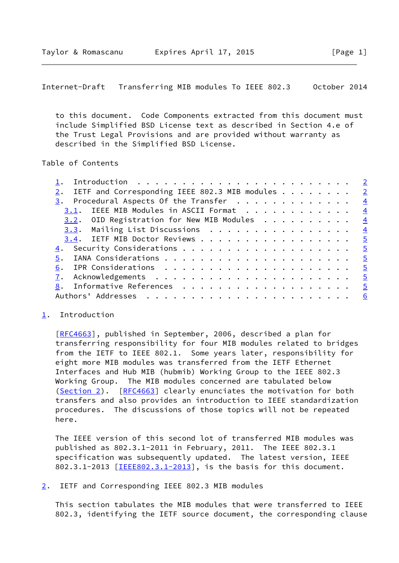<span id="page-1-1"></span> to this document. Code Components extracted from this document must include Simplified BSD License text as described in Section 4.e of the Trust Legal Provisions and are provided without warranty as described in the Simplified BSD License.

### Table of Contents

| IETF and Corresponding IEEE 802.3 MIB modules 2    |                |
|----------------------------------------------------|----------------|
| $\frac{3}{2}$ . Procedural Aspects Of the Transfer | $\frac{4}{3}$  |
| 3.1. IEEE MIB Modules in ASCII Format              | $\frac{4}{3}$  |
| $3.2.$ OID Registration for New MIB Modules        | $\overline{4}$ |
| $3.3$ . Mailing List Discussions 4                 |                |
| 3.4. IETF MIB Doctor Reviews 5                     |                |
|                                                    |                |
|                                                    |                |
| 6.                                                 |                |
|                                                    |                |
| 8. Informative References 5                        |                |
|                                                    |                |
|                                                    |                |

### <span id="page-1-0"></span>[1](#page-1-0). Introduction

[\[RFC4663](https://datatracker.ietf.org/doc/pdf/rfc4663)], published in September, 2006, described a plan for transferring responsibility for four MIB modules related to bridges from the IETF to IEEE 802.1. Some years later, responsibility for eight more MIB modules was transferred from the IETF Ethernet Interfaces and Hub MIB (hubmib) Working Group to the IEEE 802.3 Working Group. The MIB modules concerned are tabulated below [\(Section 2](#page-1-2)). [[RFC4663](https://datatracker.ietf.org/doc/pdf/rfc4663)] clearly enunciates the motivation for both transfers and also provides an introduction to IEEE standardization procedures. The discussions of those topics will not be repeated here.

 The IEEE version of this second lot of transferred MIB modules was published as 802.3.1-2011 in February, 2011. The IEEE 802.3.1 specification was subsequently updated. The latest version, IEEE 802.3.1-2013 [\[IEEE802.3.1-2013](#page-5-2)], is the basis for this document.

<span id="page-1-2"></span>[2](#page-1-2). IETF and Corresponding IEEE 802.3 MIB modules

 This section tabulates the MIB modules that were transferred to IEEE 802.3, identifying the IETF source document, the corresponding clause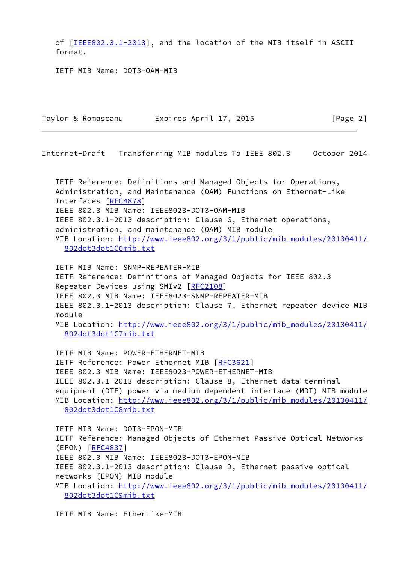of [[IEEE802.3.1-2013\]](#page-5-2), and the location of the MIB itself in ASCII format.

IETF MIB Name: DOT3-OAM-MIB

| Taylor & Romascanu | Expires April 17, 2015 | [Page 2] |
|--------------------|------------------------|----------|
|                    |                        |          |

Internet-Draft Transferring MIB modules To IEEE 802.3 October 2014

 IETF Reference: Definitions and Managed Objects for Operations, Administration, and Maintenance (OAM) Functions on Ethernet-Like Interfaces [[RFC4878\]](https://datatracker.ietf.org/doc/pdf/rfc4878) IEEE 802.3 MIB Name: IEEE8023-DOT3-OAM-MIB IEEE 802.3.1-2013 description: Clause 6, Ethernet operations, administration, and maintenance (OAM) MIB module MIB Location: [http://www.ieee802.org/3/1/public/mib\\_modules/20130411/](http://www.ieee802.org/3/1/public/mib_modules/20130411/802dot3dot1C6mib.txt) [802dot3dot1C6mib.txt](http://www.ieee802.org/3/1/public/mib_modules/20130411/802dot3dot1C6mib.txt)

 IETF MIB Name: SNMP-REPEATER-MIB IETF Reference: Definitions of Managed Objects for IEEE 802.3 Repeater Devices using SMIv2 [\[RFC2108](https://datatracker.ietf.org/doc/pdf/rfc2108)] IEEE 802.3 MIB Name: IEEE8023-SNMP-REPEATER-MIB IEEE 802.3.1-2013 description: Clause 7, Ethernet repeater device MIB module MIB Location: [http://www.ieee802.org/3/1/public/mib\\_modules/20130411/](http://www.ieee802.org/3/1/public/mib_modules/20130411/802dot3dot1C7mib.txt) [802dot3dot1C7mib.txt](http://www.ieee802.org/3/1/public/mib_modules/20130411/802dot3dot1C7mib.txt)

 IETF MIB Name: POWER-ETHERNET-MIB IETF Reference: Power Ethernet MIB [[RFC3621\]](https://datatracker.ietf.org/doc/pdf/rfc3621) IEEE 802.3 MIB Name: IEEE8023-POWER-ETHERNET-MIB IEEE 802.3.1-2013 description: Clause 8, Ethernet data terminal equipment (DTE) power via medium dependent interface (MDI) MIB module MIB Location: [http://www.ieee802.org/3/1/public/mib\\_modules/20130411/](http://www.ieee802.org/3/1/public/mib_modules/20130411/802dot3dot1C8mib.txt) [802dot3dot1C8mib.txt](http://www.ieee802.org/3/1/public/mib_modules/20130411/802dot3dot1C8mib.txt) IETF MIB Name: DOT3-EPON-MIB IETF Reference: Managed Objects of Ethernet Passive Optical Networks (EPON) [\[RFC4837](https://datatracker.ietf.org/doc/pdf/rfc4837)] IEEE 802.3 MIB Name: IEEE8023-DOT3-EPON-MIB

IEEE 802.3.1-2013 description: Clause 9, Ethernet passive optical

networks (EPON) MIB module

MIB Location: [http://www.ieee802.org/3/1/public/mib\\_modules/20130411/](http://www.ieee802.org/3/1/public/mib_modules/20130411/802dot3dot1C9mib.txt) [802dot3dot1C9mib.txt](http://www.ieee802.org/3/1/public/mib_modules/20130411/802dot3dot1C9mib.txt)

IETF MIB Name: EtherLike-MIB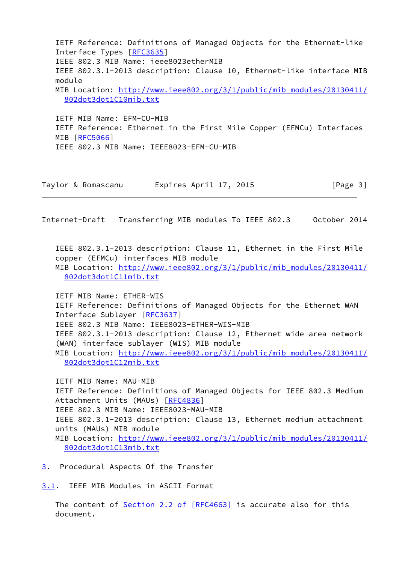IETF Reference: Definitions of Managed Objects for the Ethernet-like Interface Types [\[RFC3635](https://datatracker.ietf.org/doc/pdf/rfc3635)] IEEE 802.3 MIB Name: ieee8023etherMIB IEEE 802.3.1-2013 description: Clause 10, Ethernet-like interface MIB module MIB Location: [http://www.ieee802.org/3/1/public/mib\\_modules/20130411/](http://www.ieee802.org/3/1/public/mib_modules/20130411/802dot3dot1C10mib.txt) [802dot3dot1C10mib.txt](http://www.ieee802.org/3/1/public/mib_modules/20130411/802dot3dot1C10mib.txt) IETF MIB Name: EFM-CU-MIB IETF Reference: Ethernet in the First Mile Copper (EFMCu) Interfaces

MIB [\[RFC5066](https://datatracker.ietf.org/doc/pdf/rfc5066)] IEEE 802.3 MIB Name: IEEE8023-EFM-CU-MIB

| Taylor & Romascanu | Expires April 17, 2015 | [Page 3] |
|--------------------|------------------------|----------|
|--------------------|------------------------|----------|

<span id="page-3-1"></span>Internet-Draft Transferring MIB modules To IEEE 802.3 October 2014

 IEEE 802.3.1-2013 description: Clause 11, Ethernet in the First Mile copper (EFMCu) interfaces MIB module MIB Location: [http://www.ieee802.org/3/1/public/mib\\_modules/20130411/](http://www.ieee802.org/3/1/public/mib_modules/20130411/802dot3dot1C11mib.txt) [802dot3dot1C11mib.txt](http://www.ieee802.org/3/1/public/mib_modules/20130411/802dot3dot1C11mib.txt)

 IETF MIB Name: ETHER-WIS IETF Reference: Definitions of Managed Objects for the Ethernet WAN Interface Sublayer [[RFC3637\]](https://datatracker.ietf.org/doc/pdf/rfc3637) IEEE 802.3 MIB Name: IEEE8023-ETHER-WIS-MIB IEEE 802.3.1-2013 description: Clause 12, Ethernet wide area network (WAN) interface sublayer (WIS) MIB module MIB Location: [http://www.ieee802.org/3/1/public/mib\\_modules/20130411/](http://www.ieee802.org/3/1/public/mib_modules/20130411/802dot3dot1C12mib.txt) [802dot3dot1C12mib.txt](http://www.ieee802.org/3/1/public/mib_modules/20130411/802dot3dot1C12mib.txt)

 IETF MIB Name: MAU-MIB IETF Reference: Definitions of Managed Objects for IEEE 802.3 Medium Attachment Units (MAUs) [\[RFC4836](https://datatracker.ietf.org/doc/pdf/rfc4836)] IEEE 802.3 MIB Name: IEEE8023-MAU-MIB IEEE 802.3.1-2013 description: Clause 13, Ethernet medium attachment units (MAUs) MIB module MIB Location: [http://www.ieee802.org/3/1/public/mib\\_modules/20130411/](http://www.ieee802.org/3/1/public/mib_modules/20130411/802dot3dot1C13mib.txt) [802dot3dot1C13mib.txt](http://www.ieee802.org/3/1/public/mib_modules/20130411/802dot3dot1C13mib.txt)

<span id="page-3-0"></span>[3](#page-3-0). Procedural Aspects Of the Transfer

<span id="page-3-2"></span>[3.1](#page-3-2). IEEE MIB Modules in ASCII Format

 The content of Section [2.2 of \[RFC4663\]](https://datatracker.ietf.org/doc/pdf/rfc4663#section-2.2) is accurate also for this document.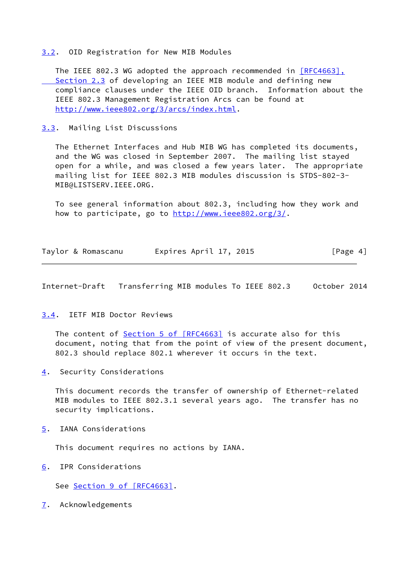# <span id="page-4-0"></span>[3.2](#page-4-0). OID Registration for New MIB Modules

The IEEE 802.3 WG adopted the approach recommended in [\[RFC4663\],](https://datatracker.ietf.org/doc/pdf/rfc4663#section-2.3) Section 2.3 of developing an IEEE MIB module and defining new compliance clauses under the IEEE OID branch. Information about the IEEE 802.3 Management Registration Arcs can be found at <http://www.ieee802.org/3/arcs/index.html>.

# <span id="page-4-1"></span>[3.3](#page-4-1). Mailing List Discussions

 The Ethernet Interfaces and Hub MIB WG has completed its documents, and the WG was closed in September 2007. The mailing list stayed open for a while, and was closed a few years later. The appropriate mailing list for IEEE 802.3 MIB modules discussion is STDS-802-3- MIB@LISTSERV.IEEE.ORG.

 To see general information about 802.3, including how they work and how to participate, go to [http://www.ieee802.org/3/.](http://www.ieee802.org/3/)

|  | Taylor & Romascanu | Expires April 17, 2015 |  | [Page 4] |  |
|--|--------------------|------------------------|--|----------|--|
|  |                    |                        |  |          |  |

<span id="page-4-3"></span>Internet-Draft Transferring MIB modules To IEEE 802.3 October 2014

## <span id="page-4-2"></span>[3.4](#page-4-2). IETF MIB Doctor Reviews

The content of **Section [5 of \[RFC4663\]](https://datatracker.ietf.org/doc/pdf/rfc4663#section-5)** is accurate also for this document, noting that from the point of view of the present document, 802.3 should replace 802.1 wherever it occurs in the text.

<span id="page-4-4"></span>[4](#page-4-4). Security Considerations

 This document records the transfer of ownership of Ethernet-related MIB modules to IEEE 802.3.1 several years ago. The transfer has no security implications.

<span id="page-4-5"></span>[5](#page-4-5). IANA Considerations

This document requires no actions by IANA.

<span id="page-4-6"></span>[6](#page-4-6). IPR Considerations

See Section [9 of \[RFC4663\]](https://datatracker.ietf.org/doc/pdf/rfc4663#section-9).

<span id="page-4-7"></span>[7](#page-4-7). Acknowledgements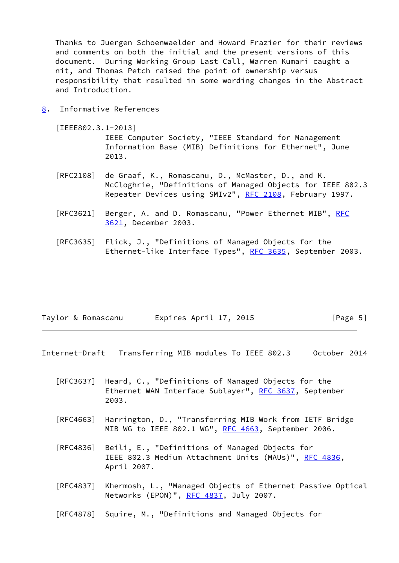Thanks to Juergen Schoenwaelder and Howard Frazier for their reviews and comments on both the initial and the present versions of this document. During Working Group Last Call, Warren Kumari caught a nit, and Thomas Petch raised the point of ownership versus responsibility that resulted in some wording changes in the Abstract and Introduction.

<span id="page-5-0"></span>[8](#page-5-0). Informative References

<span id="page-5-2"></span>[IEEE802.3.1-2013]

 IEEE Computer Society, "IEEE Standard for Management Information Base (MIB) Definitions for Ethernet", June 2013.

- [RFC2108] de Graaf, K., Romascanu, D., McMaster, D., and K. McCloghrie, "Definitions of Managed Objects for IEEE 802.3 Repeater Devices using SMIv2", [RFC 2108](https://datatracker.ietf.org/doc/pdf/rfc2108), February 1997.
- [RFC3621] Berger, A. and D. Romascanu, "Power Ethernet MIB", [RFC](https://datatracker.ietf.org/doc/pdf/rfc3621) [3621,](https://datatracker.ietf.org/doc/pdf/rfc3621) December 2003.
- [RFC3635] Flick, J., "Definitions of Managed Objects for the Ethernet-like Interface Types", [RFC 3635,](https://datatracker.ietf.org/doc/pdf/rfc3635) September 2003.

| Taylor & Romascanu | Expires April 17, 2015 | [Page 5] |
|--------------------|------------------------|----------|
|                    |                        |          |

<span id="page-5-1"></span>Internet-Draft Transferring MIB modules To IEEE 802.3 October 2014

- [RFC3637] Heard, C., "Definitions of Managed Objects for the Ethernet WAN Interface Sublayer", [RFC 3637](https://datatracker.ietf.org/doc/pdf/rfc3637), September 2003.
- [RFC4663] Harrington, D., "Transferring MIB Work from IETF Bridge MIB WG to IEEE 802.1 WG", [RFC 4663](https://datatracker.ietf.org/doc/pdf/rfc4663), September 2006.
- [RFC4836] Beili, E., "Definitions of Managed Objects for IEEE 802.3 Medium Attachment Units (MAUs)", [RFC 4836,](https://datatracker.ietf.org/doc/pdf/rfc4836) April 2007.
- [RFC4837] Khermosh, L., "Managed Objects of Ethernet Passive Optical Networks (EPON)", [RFC 4837](https://datatracker.ietf.org/doc/pdf/rfc4837), July 2007.
- [RFC4878] Squire, M., "Definitions and Managed Objects for